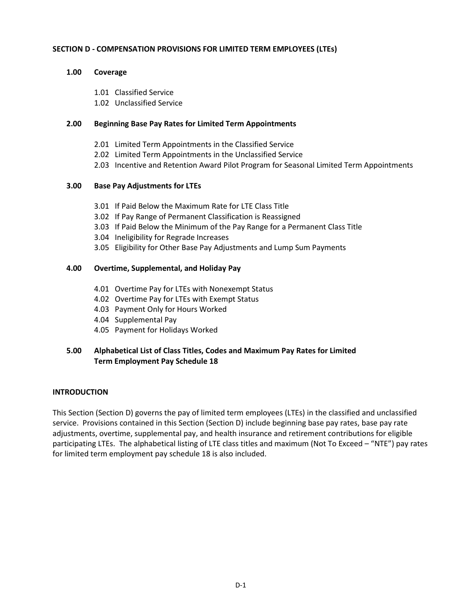## **SECTION D - COMPENSATION PROVISIONS FOR LIMITED TERM EMPLOYEES (LTEs)**

## **1.00 Coverage**

- 1.01 Classified Service
- 1.02 Unclassified Service

## **2.00 Beginning Base Pay Rates for Limited Term Appointments**

- 2.01 Limited Term Appointments in the Classified Service
- 2.02 Limited Term Appointments in the Unclassified Service
- 2.03 Incentive and Retention Award Pilot Program for Seasonal Limited Term Appointments

## **3.00 Base Pay Adjustments for LTEs**

- 3.01 If Paid Below the Maximum Rate for LTE Class Title
- 3.02 If Pay Range of Permanent Classification is Reassigned
- 3.03 If Paid Below the Minimum of the Pay Range for a Permanent Class Title
- 3.04 Ineligibility for Regrade Increases
- 3.05 Eligibility for Other Base Pay Adjustments and Lump Sum Payments

## **4.00 Overtime, Supplemental, and Holiday Pay**

- 4.01 Overtime Pay for LTEs with Nonexempt Status
- 4.02 Overtime Pay for LTEs with Exempt Status
- 4.03 Payment Only for Hours Worked
- 4.04 Supplemental Pay
- 4.05 Payment for Holidays Worked

# **5.00 Alphabetical List of Class Titles, Codes and Maximum Pay Rates for Limited Term Employment Pay Schedule 18**

### **INTRODUCTION**

This Section (Section D) governs the pay of limited term employees (LTEs) in the classified and unclassified service. Provisions contained in this Section (Section D) include beginning base pay rates, base pay rate adjustments, overtime, supplemental pay, and health insurance and retirement contributions for eligible participating LTEs. The alphabetical listing of LTE class titles and maximum (Not To Exceed – "NTE") pay rates for limited term employment pay schedule 18 is also included.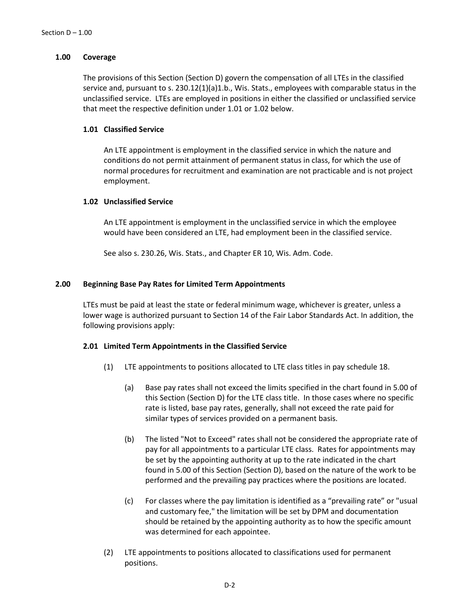## **1.00 Coverage**

The provisions of this Section (Section D) govern the compensation of all LTEs in the classified service and, pursuant to s. 230.12(1)(a)1.b., Wis. Stats., employees with comparable status in the unclassified service. LTEs are employed in positions in either the classified or unclassified service that meet the respective definition under 1.01 or 1.02 below.

## **1.01 Classified Service**

An LTE appointment is employment in the classified service in which the nature and conditions do not permit attainment of permanent status in class, for which the use of normal procedures for recruitment and examination are not practicable and is not project employment.

### **1.02 Unclassified Service**

An LTE appointment is employment in the unclassified service in which the employee would have been considered an LTE, had employment been in the classified service.

See also s. 230.26, Wis. Stats., and Chapter ER 10, Wis. Adm. Code.

## **2.00 Beginning Base Pay Rates for Limited Term Appointments**

LTEs must be paid at least the state or federal minimum wage, whichever is greater, unless a lower wage is authorized pursuant to Section 14 of the Fair Labor Standards Act. In addition, the following provisions apply:

### **2.01 Limited Term Appointments in the Classified Service**

- (1) LTE appointments to positions allocated to LTE class titles in pay schedule 18.
	- (a) Base pay rates shall not exceed the limits specified in the chart found in 5.00 of this Section (Section D) for the LTE class title. In those cases where no specific rate is listed, base pay rates, generally, shall not exceed the rate paid for similar types of services provided on a permanent basis.
	- (b) The listed "Not to Exceed" rates shall not be considered the appropriate rate of pay for all appointments to a particular LTE class. Rates for appointments may be set by the appointing authority at up to the rate indicated in the chart found in 5.00 of this Section (Section D), based on the nature of the work to be performed and the prevailing pay practices where the positions are located.
	- (c) For classes where the pay limitation is identified as a "prevailing rate" or "usual and customary fee," the limitation will be set by DPM and documentation should be retained by the appointing authority as to how the specific amount was determined for each appointee.
- (2) LTE appointments to positions allocated to classifications used for permanent positions.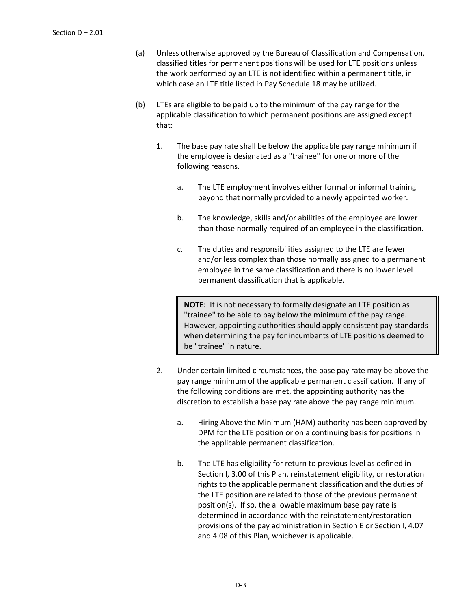- (a) Unless otherwise approved by the Bureau of Classification and Compensation, classified titles for permanent positions will be used for LTE positions unless the work performed by an LTE is not identified within a permanent title, in which case an LTE title listed in Pay Schedule 18 may be utilized.
- (b) LTEs are eligible to be paid up to the minimum of the pay range for the applicable classification to which permanent positions are assigned except that:
	- 1. The base pay rate shall be below the applicable pay range minimum if the employee is designated as a "trainee" for one or more of the following reasons.
		- a. The LTE employment involves either formal or informal training beyond that normally provided to a newly appointed worker.
		- b. The knowledge, skills and/or abilities of the employee are lower than those normally required of an employee in the classification.
		- c. The duties and responsibilities assigned to the LTE are fewer and/or less complex than those normally assigned to a permanent employee in the same classification and there is no lower level permanent classification that is applicable.

**NOTE:** It is not necessary to formally designate an LTE position as "trainee" to be able to pay below the minimum of the pay range. However, appointing authorities should apply consistent pay standards when determining the pay for incumbents of LTE positions deemed to be "trainee" in nature.

- 2. Under certain limited circumstances, the base pay rate may be above the pay range minimum of the applicable permanent classification. If any of the following conditions are met, the appointing authority has the discretion to establish a base pay rate above the pay range minimum.
	- a. Hiring Above the Minimum (HAM) authority has been approved by DPM for the LTE position or on a continuing basis for positions in the applicable permanent classification.
	- b. The LTE has eligibility for return to previous level as defined in Section I, 3.00 of this Plan, reinstatement eligibility, or restoration rights to the applicable permanent classification and the duties of the LTE position are related to those of the previous permanent position(s). If so, the allowable maximum base pay rate is determined in accordance with the reinstatement/restoration provisions of the pay administration in Section E or Section I, 4.07 and 4.08 of this Plan, whichever is applicable.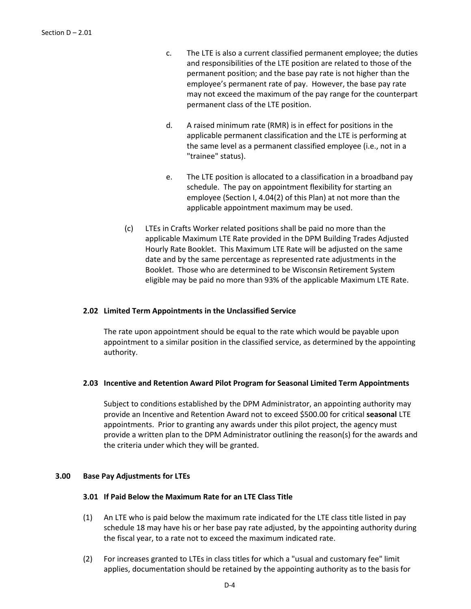- c. The LTE is also a current classified permanent employee; the duties and responsibilities of the LTE position are related to those of the permanent position; and the base pay rate is not higher than the employee's permanent rate of pay. However, the base pay rate may not exceed the maximum of the pay range for the counterpart permanent class of the LTE position.
- d. A raised minimum rate (RMR) is in effect for positions in the applicable permanent classification and the LTE is performing at the same level as a permanent classified employee (i.e., not in a "trainee" status).
- e. The LTE position is allocated to a classification in a broadband pay schedule. The pay on appointment flexibility for starting an employee (Section I, 4.04(2) of this Plan) at not more than the applicable appointment maximum may be used.
- (c) LTEs in Crafts Worker related positions shall be paid no more than the applicable Maximum LTE Rate provided in the DPM Building Trades Adjusted Hourly Rate Booklet. This Maximum LTE Rate will be adjusted on the same date and by the same percentage as represented rate adjustments in the Booklet. Those who are determined to be Wisconsin Retirement System eligible may be paid no more than 93% of the applicable Maximum LTE Rate.

### **2.02 Limited Term Appointments in the Unclassified Service**

The rate upon appointment should be equal to the rate which would be payable upon appointment to a similar position in the classified service, as determined by the appointing authority.

### **2.03 Incentive and Retention Award Pilot Program for Seasonal Limited Term Appointments**

Subject to conditions established by the DPM Administrator, an appointing authority may provide an Incentive and Retention Award not to exceed \$500.00 for critical **seasonal** LTE appointments. Prior to granting any awards under this pilot project, the agency must provide a written plan to the DPM Administrator outlining the reason(s) for the awards and the criteria under which they will be granted.

### **3.00 Base Pay Adjustments for LTEs**

#### **3.01 If Paid Below the Maximum Rate for an LTE Class Title**

- (1) An LTE who is paid below the maximum rate indicated for the LTE class title listed in pay schedule 18 may have his or her base pay rate adjusted, by the appointing authority during the fiscal year, to a rate not to exceed the maximum indicated rate.
- (2) For increases granted to LTEs in class titles for which a "usual and customary fee" limit applies, documentation should be retained by the appointing authority as to the basis for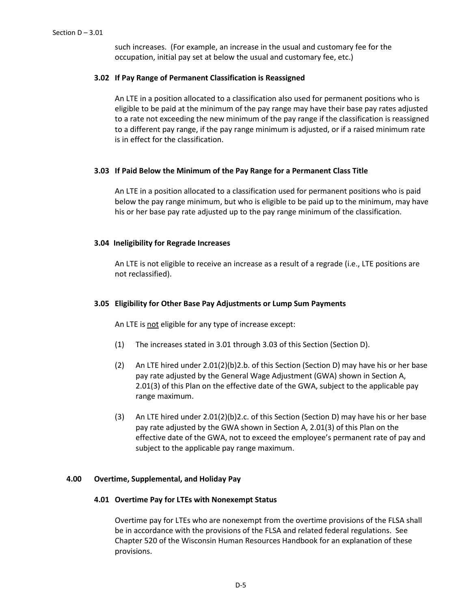such increases. (For example, an increase in the usual and customary fee for the occupation, initial pay set at below the usual and customary fee, etc.)

## **3.02 If Pay Range of Permanent Classification is Reassigned**

An LTE in a position allocated to a classification also used for permanent positions who is eligible to be paid at the minimum of the pay range may have their base pay rates adjusted to a rate not exceeding the new minimum of the pay range if the classification is reassigned to a different pay range, if the pay range minimum is adjusted, or if a raised minimum rate is in effect for the classification.

# **3.03 If Paid Below the Minimum of the Pay Range for a Permanent Class Title**

An LTE in a position allocated to a classification used for permanent positions who is paid below the pay range minimum, but who is eligible to be paid up to the minimum, may have his or her base pay rate adjusted up to the pay range minimum of the classification.

## **3.04 Ineligibility for Regrade Increases**

An LTE is not eligible to receive an increase as a result of a regrade (i.e., LTE positions are not reclassified).

## **3.05 Eligibility for Other Base Pay Adjustments or Lump Sum Payments**

An LTE is not eligible for any type of increase except:

- (1) The increases stated in 3.01 through 3.03 of this Section (Section D).
- (2) An LTE hired under 2.01(2)(b)2.b. of this Section (Section D) may have his or her base pay rate adjusted by the General Wage Adjustment (GWA) shown in Section A, 2.01(3) of this Plan on the effective date of the GWA, subject to the applicable pay range maximum.
- (3) An LTE hired under 2.01(2)(b)2.c. of this Section (Section D) may have his or her base pay rate adjusted by the GWA shown in Section A, 2.01(3) of this Plan on the effective date of the GWA, not to exceed the employee's permanent rate of pay and subject to the applicable pay range maximum.

### **4.00 Overtime, Supplemental, and Holiday Pay**

### **4.01 Overtime Pay for LTEs with Nonexempt Status**

Overtime pay for LTEs who are nonexempt from the overtime provisions of the FLSA shall be in accordance with the provisions of the FLSA and related federal regulations. See Chapter 520 of the Wisconsin Human Resources Handbook for an explanation of these provisions.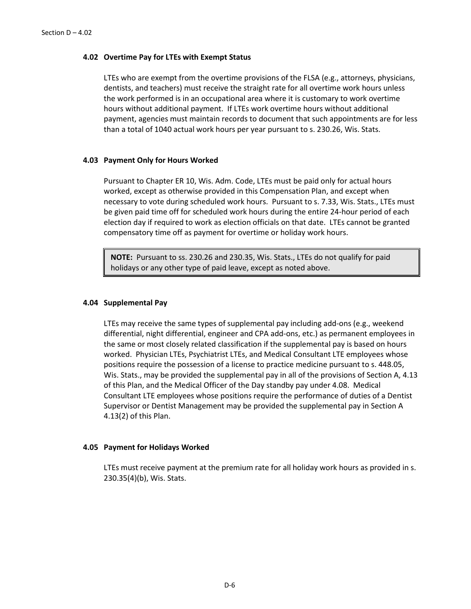### **4.02 Overtime Pay for LTEs with Exempt Status**

LTEs who are exempt from the overtime provisions of the FLSA (e.g., attorneys, physicians, dentists, and teachers) must receive the straight rate for all overtime work hours unless the work performed is in an occupational area where it is customary to work overtime hours without additional payment. If LTEs work overtime hours without additional payment, agencies must maintain records to document that such appointments are for less than a total of 1040 actual work hours per year pursuant to s. 230.26, Wis. Stats.

### **4.03 Payment Only for Hours Worked**

Pursuant to Chapter ER 10, Wis. Adm. Code, LTEs must be paid only for actual hours worked, except as otherwise provided in this Compensation Plan, and except when necessary to vote during scheduled work hours. Pursuant to s. 7.33, Wis. Stats., LTEs must be given paid time off for scheduled work hours during the entire 24-hour period of each election day if required to work as election officials on that date. LTEs cannot be granted compensatory time off as payment for overtime or holiday work hours.

**NOTE:** Pursuant to ss. 230.26 and 230.35, Wis. Stats., LTEs do not qualify for paid holidays or any other type of paid leave, except as noted above.

#### **4.04 Supplemental Pay**

LTEs may receive the same types of supplemental pay including add-ons (e.g., weekend differential, night differential, engineer and CPA add-ons, etc.) as permanent employees in the same or most closely related classification if the supplemental pay is based on hours worked. Physician LTEs, Psychiatrist LTEs, and Medical Consultant LTE employees whose positions require the possession of a license to practice medicine pursuant to s. 448.05, Wis. Stats., may be provided the supplemental pay in all of the provisions of Section A, 4.13 of this Plan, and the Medical Officer of the Day standby pay under 4.08. Medical Consultant LTE employees whose positions require the performance of duties of a Dentist Supervisor or Dentist Management may be provided the supplemental pay in Section A 4.13(2) of this Plan.

#### **4.05 Payment for Holidays Worked**

LTEs must receive payment at the premium rate for all holiday work hours as provided in s. 230.35(4)(b), Wis. Stats.